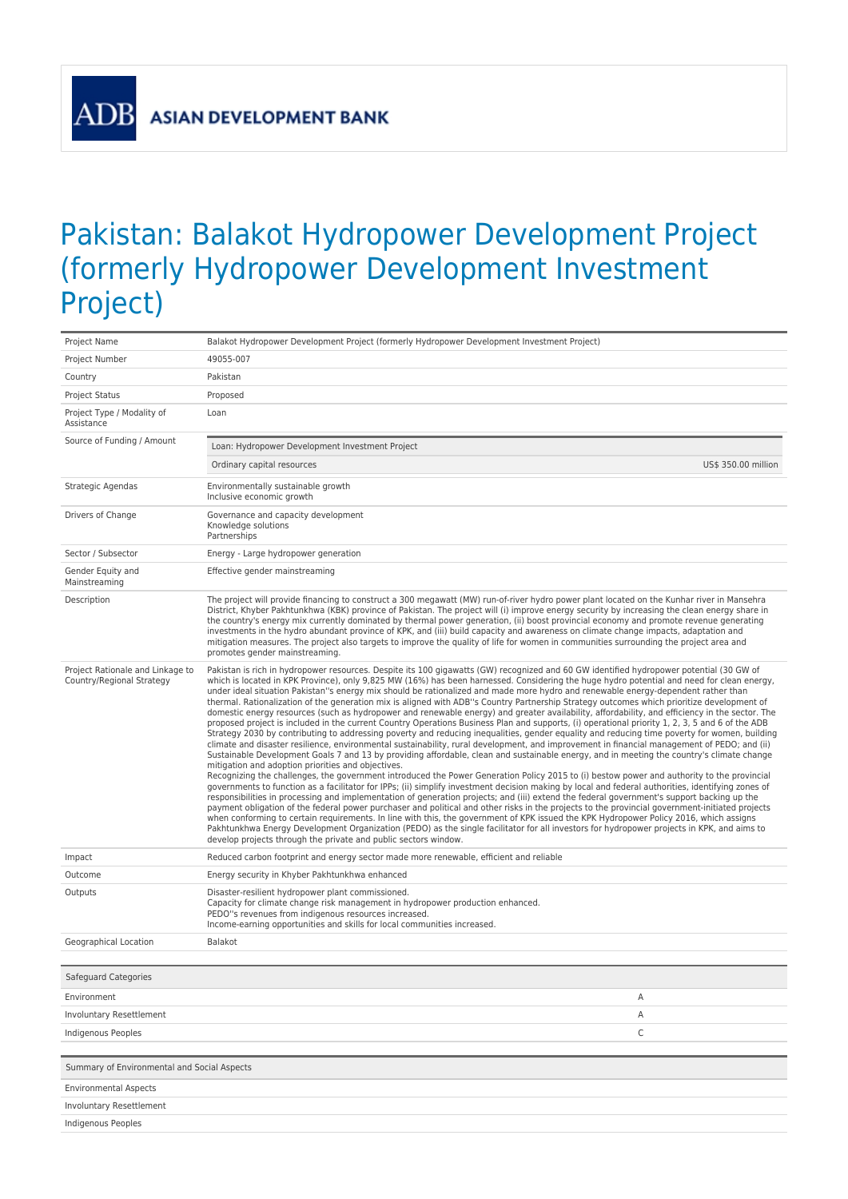$\overline{A}$ 

## Pakistan: Balakot Hydropower Development Project (formerly Hydropower Development Investment Project)

| Project Name                                                  | Balakot Hydropower Development Project (formerly Hydropower Development Investment Project)                                                                                                                                                                                                                                                                                                                                                                                                                                                                                                                                                                                                                                                                                                                                                                                                                                                                                                                                                                                                                                                                                                                                                                                                                                                                                                                                                                                                                                                                                                                                                                                                                                                                                                                                                                                                                                                                                                                                                                                                                                                                                                                                                                                                                                                     |  |
|---------------------------------------------------------------|-------------------------------------------------------------------------------------------------------------------------------------------------------------------------------------------------------------------------------------------------------------------------------------------------------------------------------------------------------------------------------------------------------------------------------------------------------------------------------------------------------------------------------------------------------------------------------------------------------------------------------------------------------------------------------------------------------------------------------------------------------------------------------------------------------------------------------------------------------------------------------------------------------------------------------------------------------------------------------------------------------------------------------------------------------------------------------------------------------------------------------------------------------------------------------------------------------------------------------------------------------------------------------------------------------------------------------------------------------------------------------------------------------------------------------------------------------------------------------------------------------------------------------------------------------------------------------------------------------------------------------------------------------------------------------------------------------------------------------------------------------------------------------------------------------------------------------------------------------------------------------------------------------------------------------------------------------------------------------------------------------------------------------------------------------------------------------------------------------------------------------------------------------------------------------------------------------------------------------------------------------------------------------------------------------------------------------------------------|--|
| Project Number                                                | 49055-007                                                                                                                                                                                                                                                                                                                                                                                                                                                                                                                                                                                                                                                                                                                                                                                                                                                                                                                                                                                                                                                                                                                                                                                                                                                                                                                                                                                                                                                                                                                                                                                                                                                                                                                                                                                                                                                                                                                                                                                                                                                                                                                                                                                                                                                                                                                                       |  |
| Country                                                       | Pakistan                                                                                                                                                                                                                                                                                                                                                                                                                                                                                                                                                                                                                                                                                                                                                                                                                                                                                                                                                                                                                                                                                                                                                                                                                                                                                                                                                                                                                                                                                                                                                                                                                                                                                                                                                                                                                                                                                                                                                                                                                                                                                                                                                                                                                                                                                                                                        |  |
| <b>Project Status</b>                                         | Proposed                                                                                                                                                                                                                                                                                                                                                                                                                                                                                                                                                                                                                                                                                                                                                                                                                                                                                                                                                                                                                                                                                                                                                                                                                                                                                                                                                                                                                                                                                                                                                                                                                                                                                                                                                                                                                                                                                                                                                                                                                                                                                                                                                                                                                                                                                                                                        |  |
| Project Type / Modality of<br>Assistance                      | Loan                                                                                                                                                                                                                                                                                                                                                                                                                                                                                                                                                                                                                                                                                                                                                                                                                                                                                                                                                                                                                                                                                                                                                                                                                                                                                                                                                                                                                                                                                                                                                                                                                                                                                                                                                                                                                                                                                                                                                                                                                                                                                                                                                                                                                                                                                                                                            |  |
| Source of Funding / Amount                                    | Loan: Hydropower Development Investment Project                                                                                                                                                                                                                                                                                                                                                                                                                                                                                                                                                                                                                                                                                                                                                                                                                                                                                                                                                                                                                                                                                                                                                                                                                                                                                                                                                                                                                                                                                                                                                                                                                                                                                                                                                                                                                                                                                                                                                                                                                                                                                                                                                                                                                                                                                                 |  |
|                                                               | Ordinary capital resources<br>US\$ 350.00 million                                                                                                                                                                                                                                                                                                                                                                                                                                                                                                                                                                                                                                                                                                                                                                                                                                                                                                                                                                                                                                                                                                                                                                                                                                                                                                                                                                                                                                                                                                                                                                                                                                                                                                                                                                                                                                                                                                                                                                                                                                                                                                                                                                                                                                                                                               |  |
| Strategic Agendas                                             | Environmentally sustainable growth<br>Inclusive economic growth                                                                                                                                                                                                                                                                                                                                                                                                                                                                                                                                                                                                                                                                                                                                                                                                                                                                                                                                                                                                                                                                                                                                                                                                                                                                                                                                                                                                                                                                                                                                                                                                                                                                                                                                                                                                                                                                                                                                                                                                                                                                                                                                                                                                                                                                                 |  |
| Drivers of Change                                             | Governance and capacity development<br>Knowledge solutions<br>Partnerships                                                                                                                                                                                                                                                                                                                                                                                                                                                                                                                                                                                                                                                                                                                                                                                                                                                                                                                                                                                                                                                                                                                                                                                                                                                                                                                                                                                                                                                                                                                                                                                                                                                                                                                                                                                                                                                                                                                                                                                                                                                                                                                                                                                                                                                                      |  |
| Sector / Subsector                                            | Energy - Large hydropower generation                                                                                                                                                                                                                                                                                                                                                                                                                                                                                                                                                                                                                                                                                                                                                                                                                                                                                                                                                                                                                                                                                                                                                                                                                                                                                                                                                                                                                                                                                                                                                                                                                                                                                                                                                                                                                                                                                                                                                                                                                                                                                                                                                                                                                                                                                                            |  |
| Gender Equity and<br>Mainstreaming                            | Effective gender mainstreaming                                                                                                                                                                                                                                                                                                                                                                                                                                                                                                                                                                                                                                                                                                                                                                                                                                                                                                                                                                                                                                                                                                                                                                                                                                                                                                                                                                                                                                                                                                                                                                                                                                                                                                                                                                                                                                                                                                                                                                                                                                                                                                                                                                                                                                                                                                                  |  |
| Description                                                   | The project will provide financing to construct a 300 megawatt (MW) run-of-river hydro power plant located on the Kunhar river in Mansehra<br>District, Khyber Pakhtunkhwa (KBK) province of Pakistan. The project will (i) improve energy security by increasing the clean energy share in<br>the country's energy mix currently dominated by thermal power generation, (ii) boost provincial economy and promote revenue generating<br>investments in the hydro abundant province of KPK, and (iii) build capacity and awareness on climate change impacts, adaptation and<br>mitigation measures. The project also targets to improve the quality of life for women in communities surrounding the project area and<br>promotes gender mainstreaming.                                                                                                                                                                                                                                                                                                                                                                                                                                                                                                                                                                                                                                                                                                                                                                                                                                                                                                                                                                                                                                                                                                                                                                                                                                                                                                                                                                                                                                                                                                                                                                                        |  |
| Project Rationale and Linkage to<br>Country/Regional Strategy | Pakistan is rich in hydropower resources. Despite its 100 gigawatts (GW) recognized and 60 GW identified hydropower potential (30 GW of<br>which is located in KPK Province), only 9,825 MW (16%) has been harnessed. Considering the huge hydro potential and need for clean energy,<br>under ideal situation Pakistan"s energy mix should be rationalized and made more hydro and renewable energy-dependent rather than<br>thermal. Rationalization of the generation mix is aligned with ADB"s Country Partnership Strategy outcomes which prioritize development of<br>domestic energy resources (such as hydropower and renewable energy) and greater availability, affordability, and efficiency in the sector. The<br>proposed project is included in the current Country Operations Business Plan and supports, (i) operational priority 1, 2, 3, 5 and 6 of the ADB<br>Strategy 2030 by contributing to addressing poverty and reducing inequalities, gender equality and reducing time poverty for women, building<br>climate and disaster resilience, environmental sustainability, rural development, and improvement in financial management of PEDO; and (ii)<br>Sustainable Development Goals 7 and 13 by providing affordable, clean and sustainable energy, and in meeting the country's climate change<br>mitigation and adoption priorities and objectives.<br>Recognizing the challenges, the government introduced the Power Generation Policy 2015 to (i) bestow power and authority to the provincial<br>governments to function as a facilitator for IPPs; (ii) simplify investment decision making by local and federal authorities, identifying zones of<br>responsibilities in processing and implementation of generation projects; and (iii) extend the federal government's support backing up the<br>payment obligation of the federal power purchaser and political and other risks in the projects to the provincial government-initiated projects<br>when conforming to certain requirements. In line with this, the government of KPK issued the KPK Hydropower Policy 2016, which assigns<br>Pakhtunkhwa Energy Development Organization (PEDO) as the single facilitator for all investors for hydropower projects in KPK, and aims to<br>develop projects through the private and public sectors window. |  |
| Impact                                                        | Reduced carbon footprint and energy sector made more renewable, efficient and reliable                                                                                                                                                                                                                                                                                                                                                                                                                                                                                                                                                                                                                                                                                                                                                                                                                                                                                                                                                                                                                                                                                                                                                                                                                                                                                                                                                                                                                                                                                                                                                                                                                                                                                                                                                                                                                                                                                                                                                                                                                                                                                                                                                                                                                                                          |  |
| Outcome                                                       | Energy security in Khyber Pakhtunkhwa enhanced                                                                                                                                                                                                                                                                                                                                                                                                                                                                                                                                                                                                                                                                                                                                                                                                                                                                                                                                                                                                                                                                                                                                                                                                                                                                                                                                                                                                                                                                                                                                                                                                                                                                                                                                                                                                                                                                                                                                                                                                                                                                                                                                                                                                                                                                                                  |  |
| Outputs                                                       | Disaster-resilient hydropower plant commissioned.<br>Capacity for climate change risk management in hydropower production enhanced.<br>PEDO"s revenues from indigenous resources increased.<br>Income-earning opportunities and skills for local communities increased.                                                                                                                                                                                                                                                                                                                                                                                                                                                                                                                                                                                                                                                                                                                                                                                                                                                                                                                                                                                                                                                                                                                                                                                                                                                                                                                                                                                                                                                                                                                                                                                                                                                                                                                                                                                                                                                                                                                                                                                                                                                                         |  |
| Geographical Location                                         | Balakot                                                                                                                                                                                                                                                                                                                                                                                                                                                                                                                                                                                                                                                                                                                                                                                                                                                                                                                                                                                                                                                                                                                                                                                                                                                                                                                                                                                                                                                                                                                                                                                                                                                                                                                                                                                                                                                                                                                                                                                                                                                                                                                                                                                                                                                                                                                                         |  |
| Safeguard Categories                                          |                                                                                                                                                                                                                                                                                                                                                                                                                                                                                                                                                                                                                                                                                                                                                                                                                                                                                                                                                                                                                                                                                                                                                                                                                                                                                                                                                                                                                                                                                                                                                                                                                                                                                                                                                                                                                                                                                                                                                                                                                                                                                                                                                                                                                                                                                                                                                 |  |
| Environment                                                   | Α                                                                                                                                                                                                                                                                                                                                                                                                                                                                                                                                                                                                                                                                                                                                                                                                                                                                                                                                                                                                                                                                                                                                                                                                                                                                                                                                                                                                                                                                                                                                                                                                                                                                                                                                                                                                                                                                                                                                                                                                                                                                                                                                                                                                                                                                                                                                               |  |
| Involuntary Resettlement                                      | Α                                                                                                                                                                                                                                                                                                                                                                                                                                                                                                                                                                                                                                                                                                                                                                                                                                                                                                                                                                                                                                                                                                                                                                                                                                                                                                                                                                                                                                                                                                                                                                                                                                                                                                                                                                                                                                                                                                                                                                                                                                                                                                                                                                                                                                                                                                                                               |  |
| Indigenous Peoples                                            | $\mathsf C$                                                                                                                                                                                                                                                                                                                                                                                                                                                                                                                                                                                                                                                                                                                                                                                                                                                                                                                                                                                                                                                                                                                                                                                                                                                                                                                                                                                                                                                                                                                                                                                                                                                                                                                                                                                                                                                                                                                                                                                                                                                                                                                                                                                                                                                                                                                                     |  |
|                                                               |                                                                                                                                                                                                                                                                                                                                                                                                                                                                                                                                                                                                                                                                                                                                                                                                                                                                                                                                                                                                                                                                                                                                                                                                                                                                                                                                                                                                                                                                                                                                                                                                                                                                                                                                                                                                                                                                                                                                                                                                                                                                                                                                                                                                                                                                                                                                                 |  |
| Summary of Environmental and Social Aspects                   |                                                                                                                                                                                                                                                                                                                                                                                                                                                                                                                                                                                                                                                                                                                                                                                                                                                                                                                                                                                                                                                                                                                                                                                                                                                                                                                                                                                                                                                                                                                                                                                                                                                                                                                                                                                                                                                                                                                                                                                                                                                                                                                                                                                                                                                                                                                                                 |  |
| <b>Environmental Aspects</b>                                  |                                                                                                                                                                                                                                                                                                                                                                                                                                                                                                                                                                                                                                                                                                                                                                                                                                                                                                                                                                                                                                                                                                                                                                                                                                                                                                                                                                                                                                                                                                                                                                                                                                                                                                                                                                                                                                                                                                                                                                                                                                                                                                                                                                                                                                                                                                                                                 |  |
| Involuntary Resettlement                                      |                                                                                                                                                                                                                                                                                                                                                                                                                                                                                                                                                                                                                                                                                                                                                                                                                                                                                                                                                                                                                                                                                                                                                                                                                                                                                                                                                                                                                                                                                                                                                                                                                                                                                                                                                                                                                                                                                                                                                                                                                                                                                                                                                                                                                                                                                                                                                 |  |
| Indigenous Peoples                                            |                                                                                                                                                                                                                                                                                                                                                                                                                                                                                                                                                                                                                                                                                                                                                                                                                                                                                                                                                                                                                                                                                                                                                                                                                                                                                                                                                                                                                                                                                                                                                                                                                                                                                                                                                                                                                                                                                                                                                                                                                                                                                                                                                                                                                                                                                                                                                 |  |